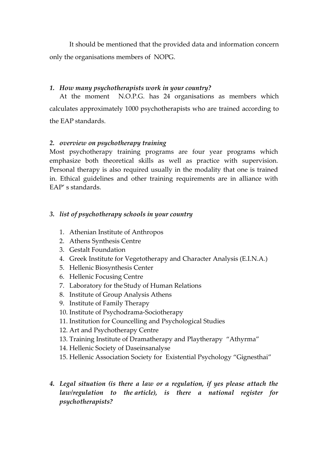It should be mentioned that the provided data and information concern only the organisations members of NOPG.

## *1. How many psychotherapists work in your country?*

At the moment N.O.P.G. has 24 organisations as members which calculates approximately 1000 psychotherapists who are trained according to the EAP standards.

## *2. overview on psychotherapy training*

Most psychotherapy training programs are four year programs which emphasize both theoretical skills as well as practice with supervision. Personal therapy is also required usually in the modality that one is trained in. Ethical guidelines and other training requirements are in alliance with EAP' s standards.

## *3. list of psychotherapy schools in your country*

- 1. Athenian Institute of Anthropos
- 2. Athens Synthesis Centre
- 3. Gestalt Foundation
- 4. Greek Institute for Vegetotherapy and Character Analysis (E.I.N.A.)
- 5. Hellenic Biosynthesis Center
- 6. Hellenic Focusing Centre
- 7. Laboratory for the Study of Human Relations
- 8. Institute of Group Analysis Athens
- 9. Institute of Family Therapy
- 10. Institute of Psychodrama-Sociotherapy
- 11. Institution for Councelling and Psychological Studies
- 12. Art and Psychotherapy Centre
- 13. Training Institute of Dramatherapy and Playtherapy "Athyrma"
- 14. Hellenic Society of Daseinsanalyse
- 15. Hellenic Association Society for Existential Psychology "Gignesthai"
- *4. Legal situation (is there a law or a regulation, if yes please attach the law/regulation to the article), is there a national register for psychotherapists?*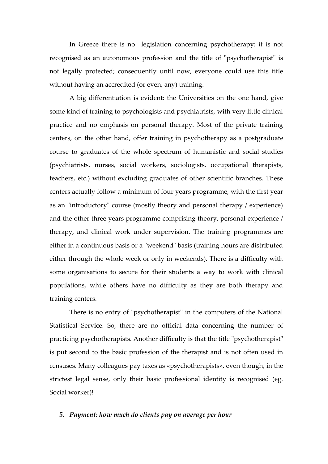In Greece there is no legislation concerning psychotherapy: it is not recognised as an autonomous profession and the title of "psychotherapist" is not legally protected; consequently until now, everyone could use this title without having an accredited (or even, any) training.

A big differentiation is evident: the Universities on the one hand, give some kind of training to psychologists and psychiatrists, with very little clinical practice and no emphasis on personal therapy. Most of the private training centers, on the other hand, offer training in psychotherapy as a postgraduate course to graduates of the whole spectrum of humanistic and social studies (psychiatrists, nurses, social workers, sociologists, occupational therapists, teachers, etc.) without excluding graduates of other scientific branches. These centers actually follow a minimum of four years programme, with the first year as an "introductory" course (mostly theory and personal therapy / experience) and the other three years programme comprising theory, personal experience / therapy, and clinical work under supervision. The training programmes are either in a continuous basis or a "weekend" basis (training hours are distributed either through the whole week or only in weekends). There is a difficulty with some organisations to secure for their students a way to work with clinical populations, while others have no difficulty as they are both therapy and training centers.

There is no entry of "psychotherapist" in the computers of the National Statistical Service. So, there are no official data concerning the number of practicing psychotherapists. Another difficulty is that the title "psychotherapist" is put second to the basic profession of the therapist and is not often used in censuses. Many colleagues pay taxes as «psychotherapists», even though, in the strictest legal sense, only their basic professional identity is recognised (eg. Social worker)!

#### *5. Payment: how much do clients pay on average per hour*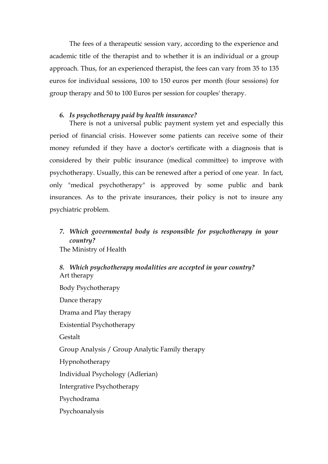The fees of a therapeutic session vary, according to the experience and academic title of the therapist and to whether it is an individual or a group approach. Thus, for an experienced therapist, the fees can vary from 35 to 135 euros for individual sessions, 100 to 150 euros per month (four sessions) for group therapy and 50 to 100 Euros per session for couples' therapy.

### *6. Is psychotherapy paid by health insurance?*

There is not a universal public payment system yet and especially this period of financial crisis. However some patients can receive some of their money refunded if they have a doctor's certificate with a diagnosis that is considered by their public insurance (medical committee) to improve with psychotherapy. Usually, this can be renewed after a period of one year. In fact, only "medical psychotherapy" is approved by some public and bank insurances. As to the private insurances, their policy is not to insure any psychiatric problem.

# *7. Which governmental body is responsible for psychotherapy in your country?*

The Ministry of Health

## *8. Which psychotherapy modalities are accepted in your country?* Art therapy

Body Psychotherapy Dance therapy Drama and Play therapy Existential Psychotherapy Gestalt Group Analysis / Group Analytic Family therapy Hypnohotherapy Individual Psychology (Adlerian) Intergrative Psychotherapy Psychodrama Psychoanalysis